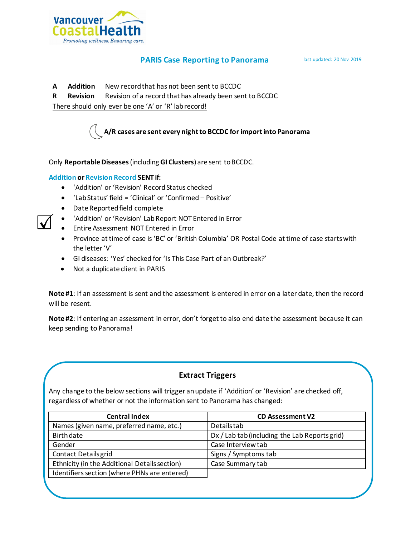

## **PARIS Case Reporting to Panorama** last updated: 20 Nov 2019

- **A Addition** New record that has not been sent to BCCDC
- **R Revision** Revision of a record that has already been sent to BCCDC

There should only ever be one 'A' or 'R' lab record!



Only **Reportable Diseases**(including **GI Clusters**) are sent to BCCDC.

## **Addition or Revision Record SENT if:**

- 'Addition' or 'Revision' Record Status checked
- 'Lab Status' field = 'Clinical' or 'Confirmed Positive'
- Date Reported field complete
- 'Addition' or 'Revision' Lab Report NOT Entered in Error
- Entire Assessment NOT Entered in Error
- Province at time of case is 'BC' or 'British Columbia' OR Postal Code at time of case starts with the letter 'V'
- GI diseases: 'Yes' checked for 'Is This Case Part of an Outbreak?'
- Not a duplicate client in PARIS

**Note #1**: If an assessment is sent and the assessment is entered in error on a later date, then the record will be resent.

**Note #2**: If entering an assessment in error, don't forget to also end date the assessment because it can keep sending to Panorama!

## **Extract Triggers**

Any change to the below sections will trigger an update if 'Addition' or 'Revision' are checked off, regardless of whether or not the information sent to Panorama has changed:

| <b>Central Index</b>                          | <b>CD Assessment V2</b>                       |
|-----------------------------------------------|-----------------------------------------------|
| Names (given name, preferred name, etc.)      | <b>Details tab</b>                            |
| <b>Birth date</b>                             | Dx / Lab tab (including the Lab Reports grid) |
| Gender                                        | Case Interview tab                            |
| <b>Contact Details grid</b>                   | Signs / Symptoms tab                          |
| Ethnicity (in the Additional Details section) | Case Summary tab                              |
| Identifiers section (where PHNs are entered)  |                                               |